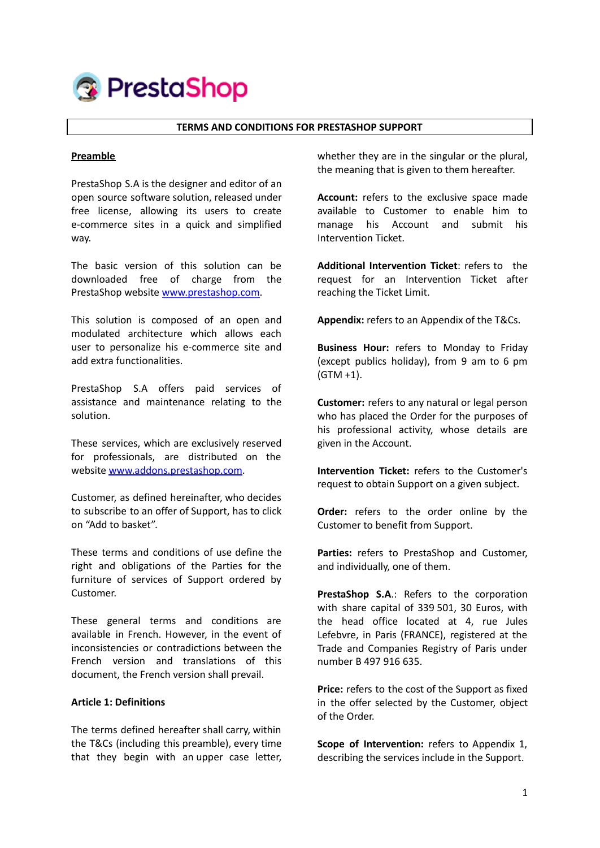

#### **TERMS AND CONDITIONS FOR PRESTASHOP SUPPORT**

#### **Preamble**

PrestaShop S.A is the designer and editor of an open source software solution, released under free license, allowing its users to create e-commerce sites in a quick and simplified way.

The basic version of this solution can be downloaded free of charge from the PrestaShop website [www.prestashop.com](http://www.prestashop.com).

This solution is composed of an open and modulated architecture which allows each user to personalize his e-commerce site and add extra functionalities.

PrestaShop S.A offers paid services of assistance and maintenance relating to the solution.

These services, which are exclusively reserved for professionals, are distributed on the website [www.addons.prestashop.com.](http://www.addons.prestashop.com)

Customer, as defined hereinafter, who decides to subscribe to an offer of Support, has to click on "Add to basket".

These terms and conditions of use define the right and obligations of the Parties for the furniture of services of Support ordered by Customer.

These general terms and conditions are available in French. However, in the event of inconsistencies or contradictions between the French version and translations of this document, the French version shall prevail.

### **Article 1: Definitions**

The terms defined hereafter shall carry, within the T&Cs (including this preamble), every time that they begin with an upper case letter, whether they are in the singular or the plural, the meaning that is given to them hereafter.

**Account:** refers to the exclusive space made available to Customer to enable him to manage his Account and submit his Intervention Ticket.

**Additional Intervention Ticket**: refers to the request for an Intervention Ticket after reaching the Ticket Limit.

**Appendix:** refers to an Appendix of the T&Cs.

**Business Hour:** refers to Monday to Friday (except publics holiday), from 9 am to 6 pm (GTM +1).

**Customer:** refers to any natural or legal person who has placed the Order for the purposes of his professional activity, whose details are given in the Account.

**Intervention Ticket:** refers to the Customer's request to obtain Support on a given subject.

**Order:** refers to the order online by the Customer to benefit from Support.

**Parties:** refers to PrestaShop and Customer, and individually, one of them.

**PrestaShop S.A**.: Refers to the corporation with share capital of 339 501, 30 Euros, with the head office located at 4, rue Jules Lefebvre, in Paris (FRANCE), registered at the Trade and Companies Registry of Paris under number B 497 916 635.

**Price:** refers to the cost of the Support as fixed in the offer selected by the Customer, object of the Order.

**Scope of Intervention:** refers to Appendix 1, describing the services include in the Support.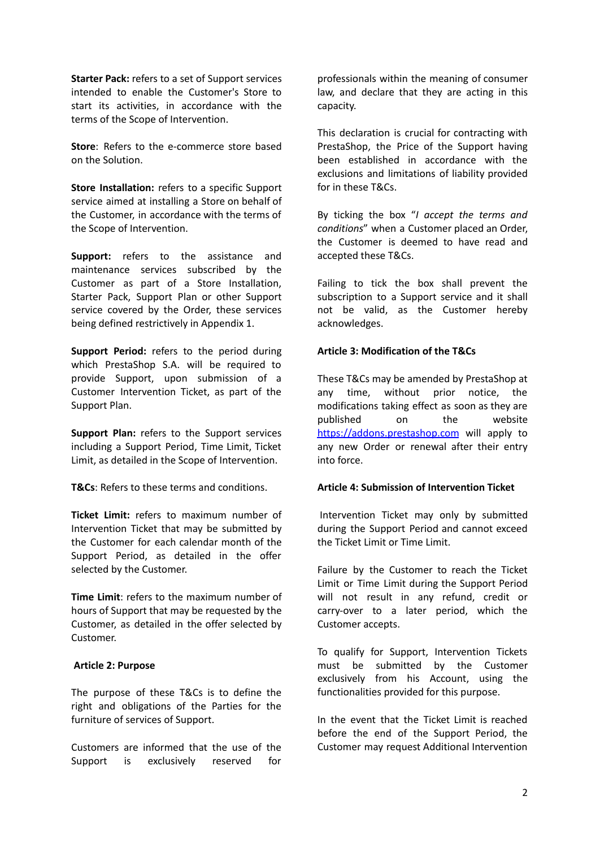**Starter Pack:** refers to a set of Support services intended to enable the Customer's Store to start its activities, in accordance with the terms of the Scope of Intervention.

**Store**: Refers to the e-commerce store based on the Solution.

**Store Installation:** refers to a specific Support service aimed at installing a Store on behalf of the Customer, in accordance with the terms of the Scope of Intervention.

**Support:** refers to the assistance and maintenance services subscribed by the Customer as part of a Store Installation, Starter Pack, Support Plan or other Support service covered by the Order, these services being defined restrictively in Appendix 1.

**Support Period:** refers to the period during which PrestaShop S.A. will be required to provide Support, upon submission of a Customer Intervention Ticket, as part of the Support Plan.

**Support Plan:** refers to the Support services including a Support Period, Time Limit, Ticket Limit, as detailed in the Scope of Intervention.

**T&Cs**: Refers to these terms and conditions.

**Ticket Limit:** refers to maximum number of Intervention Ticket that may be submitted by the Customer for each calendar month of the Support Period, as detailed in the offer selected by the Customer.

**Time Limit**: refers to the maximum number of hours of Support that may be requested by the Customer, as detailed in the offer selected by Customer.

#### **Article 2: Purpose**

The purpose of these T&Cs is to define the right and obligations of the Parties for the furniture of services of Support.

Customers are informed that the use of the Support is exclusively reserved for

professionals within the meaning of consumer law, and declare that they are acting in this capacity.

This declaration is crucial for contracting with PrestaShop, the Price of the Support having been established in accordance with the exclusions and limitations of liability provided for in these T&Cs.

By ticking the box "*I accept the terms and conditions*" when a Customer placed an Order, the Customer is deemed to have read and accepted these T&Cs.

Failing to tick the box shall prevent the subscription to a Support service and it shall not be valid, as the Customer hereby acknowledges.

### **Article 3: Modification of the T&Cs**

These T&Cs may be amended by PrestaShop at any time, without prior notice, the modifications taking effect as soon as they are published on the website <https://addons.prestashop.com> will apply to any new Order or renewal after their entry into force.

### **Article 4: Submission of Intervention Ticket**

Intervention Ticket may only by submitted during the Support Period and cannot exceed the Ticket Limit or Time Limit.

Failure by the Customer to reach the Ticket Limit or Time Limit during the Support Period will not result in any refund, credit or carry-over to a later period, which the Customer accepts.

To qualify for Support, Intervention Tickets must be submitted by the Customer exclusively from his Account, using the functionalities provided for this purpose.

In the event that the Ticket Limit is reached before the end of the Support Period, the Customer may request Additional Intervention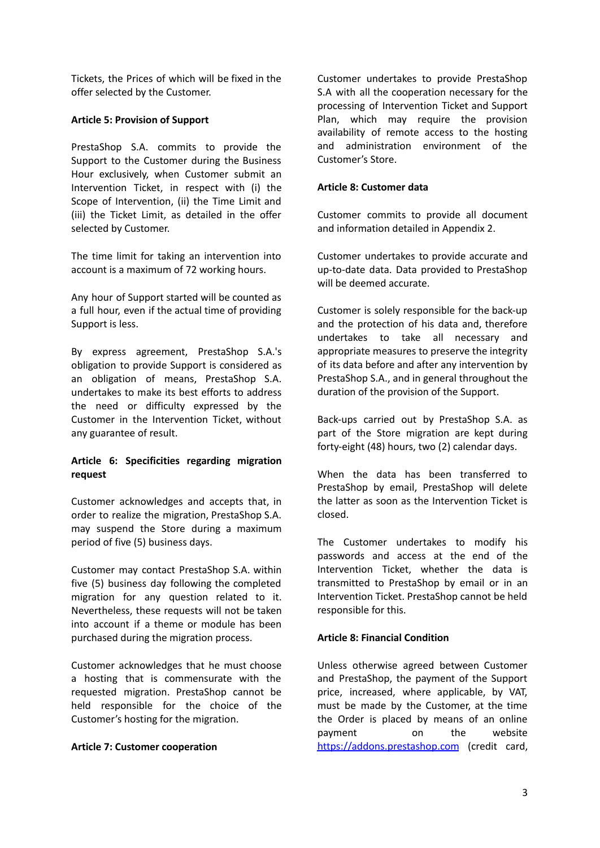Tickets, the Prices of which will be fixed in the offer selected by the Customer.

## **Article 5: Provision of Support**

PrestaShop S.A. commits to provide the Support to the Customer during the Business Hour exclusively, when Customer submit an Intervention Ticket, in respect with (i) the Scope of Intervention, (ii) the Time Limit and (iii) the Ticket Limit, as detailed in the offer selected by Customer.

The time limit for taking an intervention into account is a maximum of 72 working hours.

Any hour of Support started will be counted as a full hour, even if the actual time of providing Support is less.

By express agreement, PrestaShop S.A.'s obligation to provide Support is considered as an obligation of means, PrestaShop S.A. undertakes to make its best efforts to address the need or difficulty expressed by the Customer in the Intervention Ticket, without any guarantee of result.

# **Article 6: Specificities regarding migration request**

Customer acknowledges and accepts that, in order to realize the migration, PrestaShop S.A. may suspend the Store during a maximum period of five (5) business days.

Customer may contact PrestaShop S.A. within five (5) business day following the completed migration for any question related to it. Nevertheless, these requests will not be taken into account if a theme or module has been purchased during the migration process.

Customer acknowledges that he must choose a hosting that is commensurate with the requested migration. PrestaShop cannot be held responsible for the choice of the Customer's hosting for the migration.

### **Article 7: Customer cooperation**

Customer undertakes to provide PrestaShop S.A with all the cooperation necessary for the processing of Intervention Ticket and Support Plan, which may require the provision availability of remote access to the hosting and administration environment of the Customer's Store.

#### **Article 8: Customer data**

Customer commits to provide all document and information detailed in Appendix 2.

Customer undertakes to provide accurate and up-to-date data. Data provided to PrestaShop will be deemed accurate.

Customer is solely responsible for the back-up and the protection of his data and, therefore undertakes to take all necessary and appropriate measures to preserve the integrity of its data before and after any intervention by PrestaShop S.A., and in general throughout the duration of the provision of the Support.

Back-ups carried out by PrestaShop S.A. as part of the Store migration are kept during forty-eight (48) hours, two (2) calendar days.

When the data has been transferred to PrestaShop by email, PrestaShop will delete the latter as soon as the Intervention Ticket is closed.

The Customer undertakes to modify his passwords and access at the end of the Intervention Ticket, whether the data is transmitted to PrestaShop by email or in an Intervention Ticket. PrestaShop cannot be held responsible for this.

### **Article 8: Financial Condition**

Unless otherwise agreed between Customer and PrestaShop, the payment of the Support price, increased, where applicable, by VAT, must be made by the Customer, at the time the Order is placed by means of an online payment on the website <https://addons.prestashop.com> (credit card,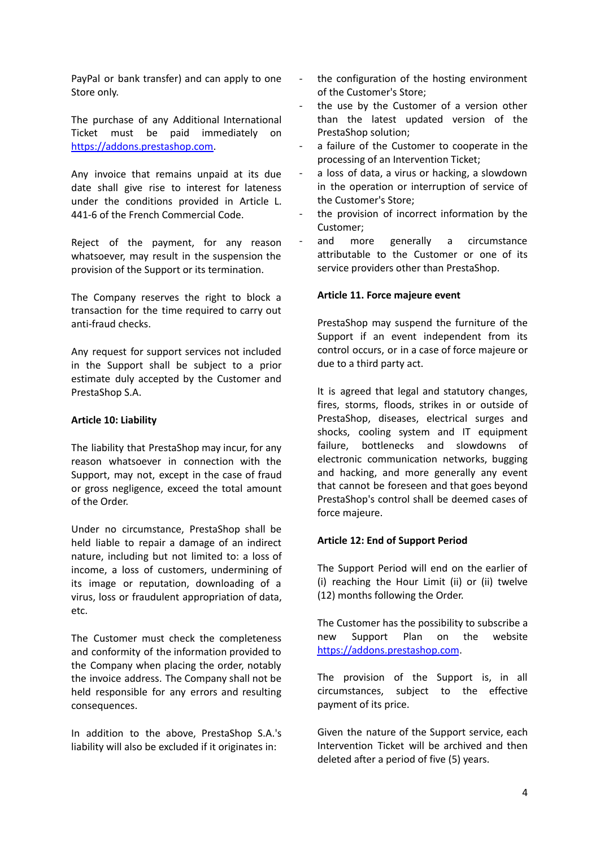PayPal or bank transfer) and can apply to one Store only.

The purchase of any Additional International Ticket must be paid immediately on [https://addons.prestashop.com.](https://addons.prestashop.com)

Any invoice that remains unpaid at its due date shall give rise to interest for lateness under the conditions provided in Article L. 441-6 of the French Commercial Code.

Reject of the payment, for any reason whatsoever, may result in the suspension the provision of the Support or its termination.

The Company reserves the right to block a transaction for the time required to carry out anti-fraud checks.

Any request for support services not included in the Support shall be subject to a prior estimate duly accepted by the Customer and PrestaShop S.A.

### **Article 10: Liability**

The liability that PrestaShop may incur, for any reason whatsoever in connection with the Support, may not, except in the case of fraud or gross negligence, exceed the total amount of the Order.

Under no circumstance, PrestaShop shall be held liable to repair a damage of an indirect nature, including but not limited to: a loss of income, a loss of customers, undermining of its image or reputation, downloading of a virus, loss or fraudulent appropriation of data, etc.

The Customer must check the completeness and conformity of the information provided to the Company when placing the order, notably the invoice address. The Company shall not be held responsible for any errors and resulting consequences.

In addition to the above, PrestaShop S.A.'s liability will also be excluded if it originates in:

- the configuration of the hosting environment of the Customer's Store;
- the use by the Customer of a version other than the latest updated version of the PrestaShop solution;
- a failure of the Customer to cooperate in the processing of an Intervention Ticket;
- a loss of data, a virus or hacking, a slowdown in the operation or interruption of service of the Customer's Store;
- the provision of incorrect information by the Customer;
- and more generally a circumstance attributable to the Customer or one of its service providers other than PrestaShop.

### **Article 11. Force majeure event**

PrestaShop may suspend the furniture of the Support if an event independent from its control occurs, or in a case of force majeure or due to a third party act.

It is agreed that legal and statutory changes, fires, storms, floods, strikes in or outside of PrestaShop, diseases, electrical surges and shocks, cooling system and IT equipment failure, bottlenecks and slowdowns of electronic communication networks, bugging and hacking, and more generally any event that cannot be foreseen and that goes beyond PrestaShop's control shall be deemed cases of force majeure.

### **Article 12: End of Support Period**

The Support Period will end on the earlier of (i) reaching the Hour Limit (ii) or (ii) twelve (12) months following the Order.

The Customer has the possibility to subscribe a new Support Plan on the website <https://addons.prestashop.com>.

The provision of the Support is, in all circumstances, subject to the effective payment of its price.

Given the nature of the Support service, each Intervention Ticket will be archived and then deleted after a period of five (5) years.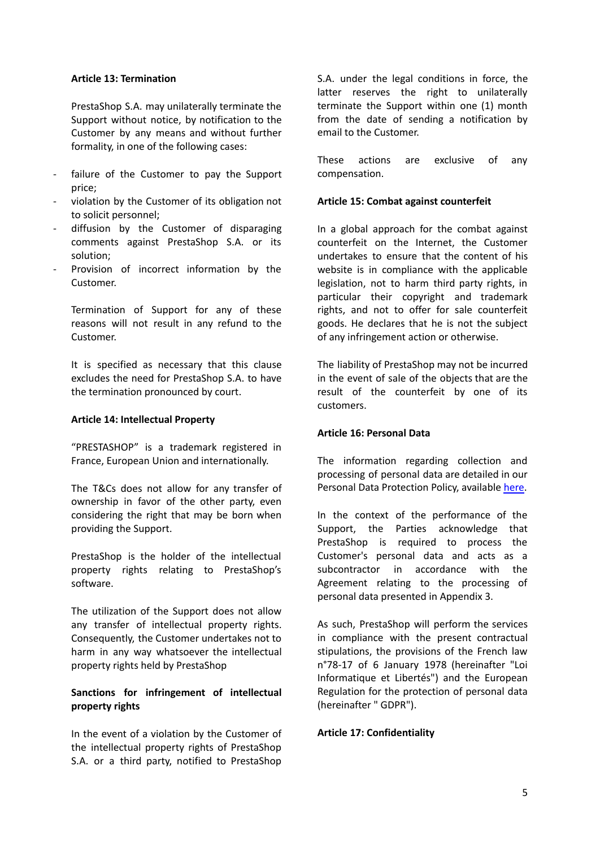### **Article 13: Termination**

PrestaShop S.A. may unilaterally terminate the Support without notice, by notification to the Customer by any means and without further formality, in one of the following cases:

- failure of the Customer to pay the Support price;
- violation by the Customer of its obligation not to solicit personnel;
- diffusion by the Customer of disparaging comments against PrestaShop S.A. or its solution;
- Provision of incorrect information by the Customer.

Termination of Support for any of these reasons will not result in any refund to the Customer.

It is specified as necessary that this clause excludes the need for PrestaShop S.A. to have the termination pronounced by court.

### **Article 14: Intellectual Property**

"PRESTASHOP" is a trademark registered in France, European Union and internationally.

The T&Cs does not allow for any transfer of ownership in favor of the other party, even considering the right that may be born when providing the Support.

PrestaShop is the holder of the intellectual property rights relating to PrestaShop's software.

The utilization of the Support does not allow any transfer of intellectual property rights. Consequently, the Customer undertakes not to harm in any way whatsoever the intellectual property rights held by PrestaShop

# **Sanctions for infringement of intellectual property rights**

In the event of a violation by the Customer of the intellectual property rights of PrestaShop S.A. or a third party, notified to PrestaShop

S.A. under the legal conditions in force, the latter reserves the right to unilaterally terminate the Support within one (1) month from the date of sending a notification by email to the Customer.

These actions are exclusive of any compensation.

### **Article 15: Combat against counterfeit**

In a global approach for the combat against counterfeit on the Internet, the Customer undertakes to ensure that the content of his website is in compliance with the applicable legislation, not to harm third party rights, in particular their copyright and trademark rights, and not to offer for sale counterfeit goods. He declares that he is not the subject of any infringement action or otherwise.

The liability of PrestaShop may not be incurred in the event of sale of the objects that are the result of the counterfeit by one of its customers.

### **Article 16: Personal Data**

The information regarding collection and processing of personal data are detailed in our Personal Data Protection Policy, available [here.](https://addons.prestashop.com/en/content/32-personal-data-protection-policy)

In the context of the performance of the Support, the Parties acknowledge that PrestaShop is required to process the Customer's personal data and acts as a subcontractor in accordance with the Agreement relating to the processing of personal data presented in Appendix 3.

As such, PrestaShop will perform the services in compliance with the present contractual stipulations, the provisions of the French law n°78-17 of 6 January 1978 (hereinafter "Loi Informatique et Libertés") and the European Regulation for the protection of personal data (hereinafter " GDPR").

### **Article 17: Confidentiality**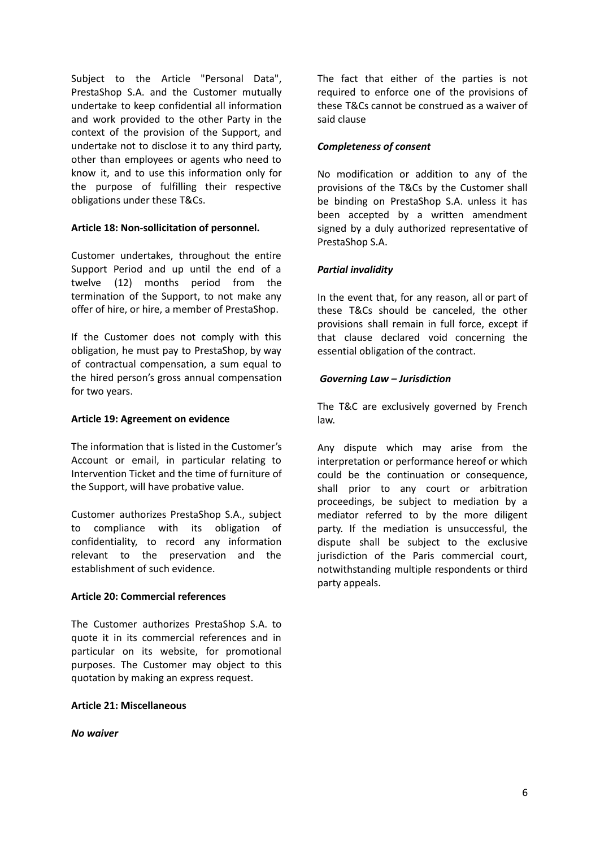Subject to the Article "Personal Data", PrestaShop S.A. and the Customer mutually undertake to keep confidential all information and work provided to the other Party in the context of the provision of the Support, and undertake not to disclose it to any third party, other than employees or agents who need to know it, and to use this information only for the purpose of fulfilling their respective obligations under these T&Cs.

## **Article 18: Non-sollicitation of personnel.**

Customer undertakes, throughout the entire Support Period and up until the end of a twelve (12) months period from the termination of the Support, to not make any offer of hire, or hire, a member of PrestaShop.

If the Customer does not comply with this obligation, he must pay to PrestaShop, by way of contractual compensation, a sum equal to the hired person's gross annual compensation for two years.

### **Article 19: Agreement on evidence**

The information that is listed in the Customer's Account or email, in particular relating to Intervention Ticket and the time of furniture of the Support, will have probative value.

Customer authorizes PrestaShop S.A., subject to compliance with its obligation of confidentiality, to record any information relevant to the preservation and the establishment of such evidence.

# **Article 20: Commercial references**

The Customer authorizes PrestaShop S.A. to quote it in its commercial references and in particular on its website, for promotional purposes. The Customer may object to this quotation by making an express request.

### **Article 21: Miscellaneous**

*No waiver*

The fact that either of the parties is not required to enforce one of the provisions of these T&Cs cannot be construed as a waiver of said clause

### *Completeness of consent*

No modification or addition to any of the provisions of the T&Cs by the Customer shall be binding on PrestaShop S.A. unless it has been accepted by a written amendment signed by a duly authorized representative of PrestaShop S.A.

## *Partial invalidity*

In the event that, for any reason, all or part of these T&Cs should be canceled, the other provisions shall remain in full force, except if that clause declared void concerning the essential obligation of the contract.

## *Governing Law – Jurisdiction*

The T&C are exclusively governed by French law.

Any dispute which may arise from the interpretation or performance hereof or which could be the continuation or consequence, shall prior to any court or arbitration proceedings, be subject to mediation by a mediator referred to by the more diligent party. If the mediation is unsuccessful, the dispute shall be subject to the exclusive jurisdiction of the Paris commercial court, notwithstanding multiple respondents or third party appeals.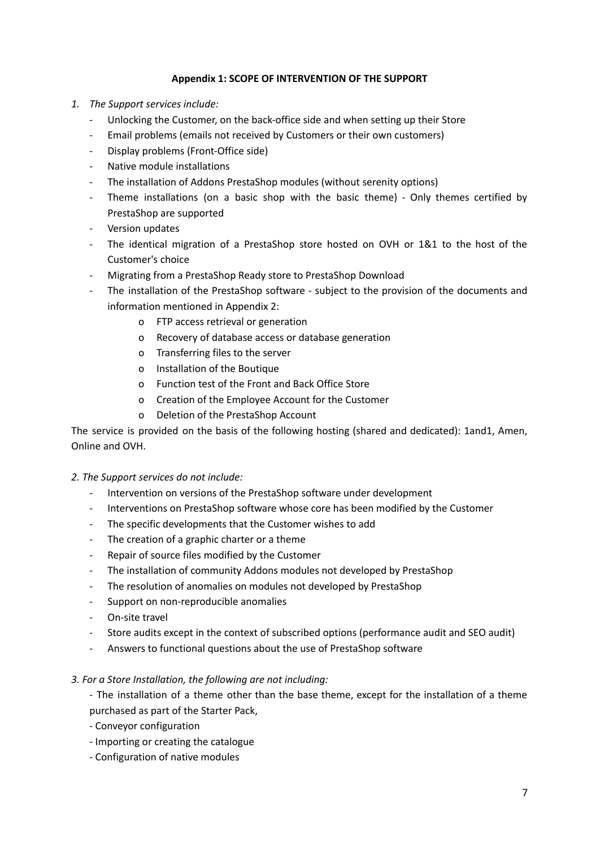# **Appendix 1: SCOPE OF INTERVENTION OF THE SUPPORT**

- *1. The Support services include:*
	- Unlocking the Customer, on the back-office side and when setting up their Store
	- Email problems (emails not received by Customers or their own customers)
	- Display problems (Front-Office side)
	- Native module installations
	- The installation of Addons PrestaShop modules (without serenity options)
	- Theme installations (on a basic shop with the basic theme) Only themes certified by PrestaShop are supported
	- Version updates
	- The identical migration of a PrestaShop store hosted on OVH or 1&1 to the host of the Customer's choice
	- Migrating from a PrestaShop Ready store to PrestaShop Download
	- The installation of the PrestaShop software subject to the provision of the documents and information mentioned in Appendix 2:
		- o FTP access retrieval or generation
		- o Recovery of database access or database generation
		- o Transferring files to the server
		- o Installation of the Boutique
		- o Function test of the Front and Back Office Store
		- o Creation of the Employee Account for the Customer
		- o Deletion of the PrestaShop Account

The service is provided on the basis of the following hosting (shared and dedicated): 1and1, Amen, Online and OVH.

### *2. The Support services do not include:*

- Intervention on versions of the PrestaShop software under development
- Interventions on PrestaShop software whose core has been modified by the Customer
- The specific developments that the Customer wishes to add
- The creation of a graphic charter or a theme
- Repair of source files modified by the Customer
- The installation of community Addons modules not developed by PrestaShop
- The resolution of anomalies on modules not developed by PrestaShop
- Support on non-reproducible anomalies
- On-site travel
- Store audits except in the context of subscribed options (performance audit and SEO audit)
- Answers to functional questions about the use of PrestaShop software

### *3. For a Store Installation, the following are not including:*

- The installation of a theme other than the base theme, except for the installation of a theme purchased as part of the Starter Pack,

- Conveyor configuration
- Importing or creating the catalogue
- Configuration of native modules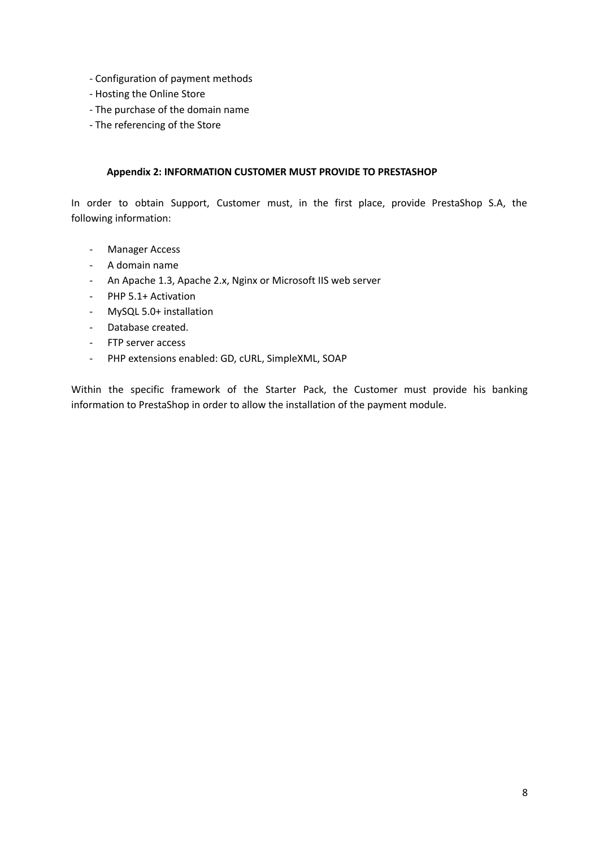- Configuration of payment methods
- Hosting the Online Store
- The purchase of the domain name
- The referencing of the Store

# **Appendix 2: INFORMATION CUSTOMER MUST PROVIDE TO PRESTASHOP**

In order to obtain Support, Customer must, in the first place, provide PrestaShop S.A, the following information:

- Manager Access
- A domain name
- An Apache 1.3, Apache 2.x, Nginx or Microsoft IIS web server
- PHP 5.1+ Activation
- MySQL 5.0+ installation
- Database created.
- FTP server access
- PHP extensions enabled: GD, cURL, SimpleXML, SOAP

Within the specific framework of the Starter Pack, the Customer must provide his banking information to PrestaShop in order to allow the installation of the payment module.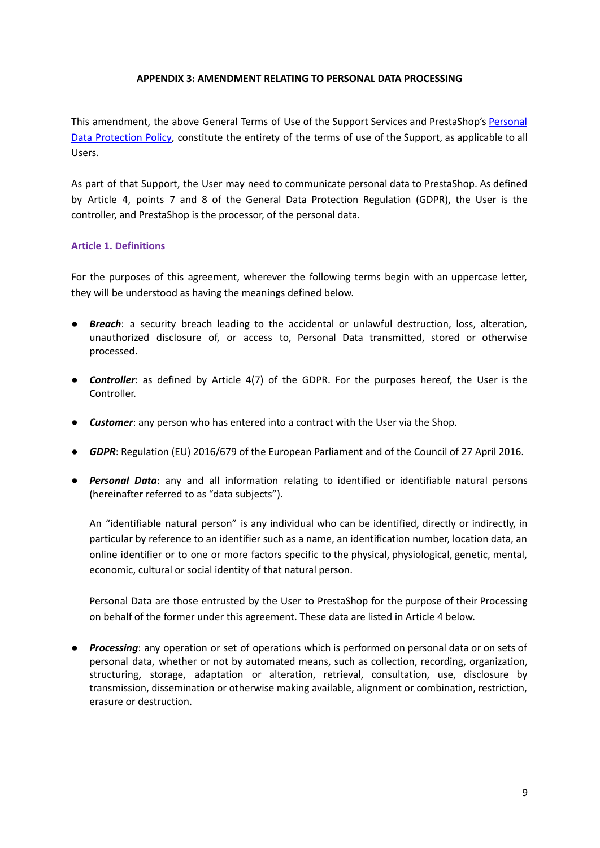### **APPENDIX 3: AMENDMENT RELATING TO PERSONAL DATA PROCESSING**

This amendment, the above General Terms of Use of the Support Services and PrestaShop's [Personal](https://addons.prestashop.com/pdf/terms/250518_PRIVACY_POLICY_EN.pdf) Data [Protection](https://addons.prestashop.com/pdf/terms/250518_PRIVACY_POLICY_EN.pdf) Policy, constitute the entirety of the terms of use of the Support, as applicable to all Users.

As part of that Support, the User may need to communicate personal data to PrestaShop. As defined by Article 4, points 7 and 8 of the General Data Protection Regulation (GDPR), the User is the controller, and PrestaShop is the processor, of the personal data.

# **Article 1. Definitions**

For the purposes of this agreement, wherever the following terms begin with an uppercase letter, they will be understood as having the meanings defined below.

- *Breach*: a security breach leading to the accidental or unlawful destruction, loss, alteration, unauthorized disclosure of, or access to, Personal Data transmitted, stored or otherwise processed.
- *Controller*: as defined by Article 4(7) of the GDPR. For the purposes hereof, the User is the Controller.
- *Customer*: any person who has entered into a contract with the User via the Shop.
- *GDPR*: Regulation (EU) 2016/679 of the European Parliament and of the Council of 27 April 2016.
- *Personal Data*: any and all information relating to identified or identifiable natural persons (hereinafter referred to as "data subjects").

An "identifiable natural person" is any individual who can be identified, directly or indirectly, in particular by reference to an identifier such as a name, an identification number, location data, an online identifier or to one or more factors specific to the physical, physiological, genetic, mental, economic, cultural or social identity of that natural person.

Personal Data are those entrusted by the User to PrestaShop for the purpose of their Processing on behalf of the former under this agreement. These data are listed in Article 4 below.

● *Processing*: any operation or set of operations which is performed on personal data or on sets of personal data, whether or not by automated means, such as collection, recording, organization, structuring, storage, adaptation or alteration, retrieval, consultation, use, disclosure by transmission, dissemination or otherwise making available, alignment or combination, restriction, erasure or destruction.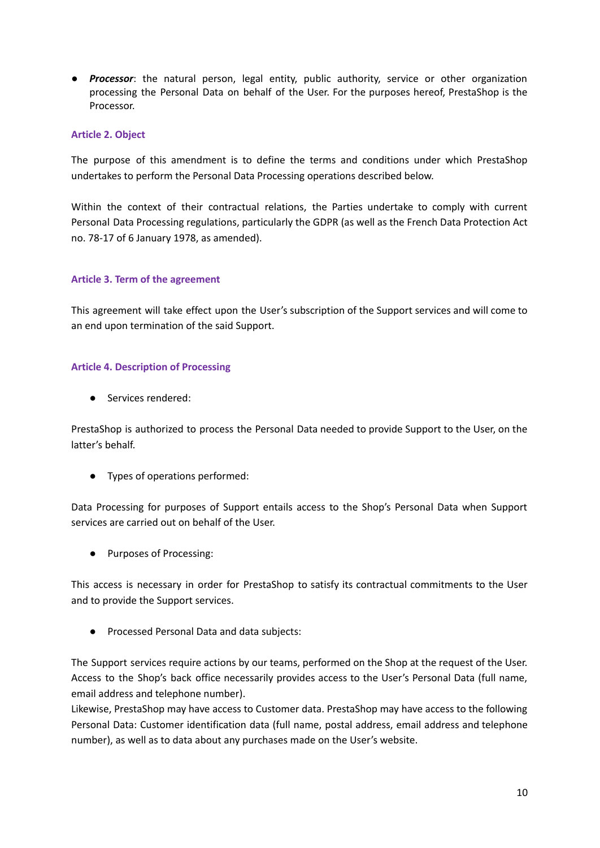● *Processor*: the natural person, legal entity, public authority, service or other organization processing the Personal Data on behalf of the User. For the purposes hereof, PrestaShop is the Processor.

### **Article 2. Object**

The purpose of this amendment is to define the terms and conditions under which PrestaShop undertakes to perform the Personal Data Processing operations described below.

Within the context of their contractual relations, the Parties undertake to comply with current Personal Data Processing regulations, particularly the GDPR (as well as the French Data Protection Act no. 78-17 of 6 January 1978, as amended).

## **Article 3. Term of the agreement**

This agreement will take effect upon the User's subscription of the Support services and will come to an end upon termination of the said Support.

## **Article 4. Description of Processing**

● Services rendered:

PrestaShop is authorized to process the Personal Data needed to provide Support to the User, on the latter's behalf.

● Types of operations performed:

Data Processing for purposes of Support entails access to the Shop's Personal Data when Support services are carried out on behalf of the User.

● Purposes of Processing:

This access is necessary in order for PrestaShop to satisfy its contractual commitments to the User and to provide the Support services.

● Processed Personal Data and data subjects:

The Support services require actions by our teams, performed on the Shop at the request of the User. Access to the Shop's back office necessarily provides access to the User's Personal Data (full name, email address and telephone number).

Likewise, PrestaShop may have access to Customer data. PrestaShop may have access to the following Personal Data: Customer identification data (full name, postal address, email address and telephone number), as well as to data about any purchases made on the User's website.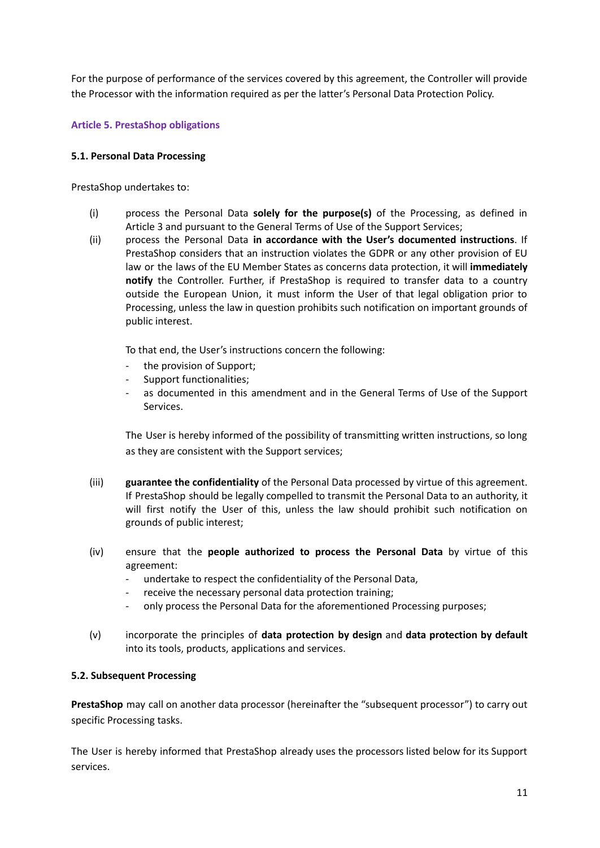For the purpose of performance of the services covered by this agreement, the Controller will provide the Processor with the information required as per the latter's Personal Data Protection Policy.

# **Article 5. PrestaShop obligations**

# **5.1. Personal Data Processing**

PrestaShop undertakes to:

- (i) process the Personal Data **solely for the purpose(s)** of the Processing, as defined in Article 3 and pursuant to the General Terms of Use of the Support Services;
- (ii) process the Personal Data **in accordance with the User's documented instructions**. If PrestaShop considers that an instruction violates the GDPR or any other provision of EU law or the laws of the EU Member States as concerns data protection, it will **immediately notify** the Controller. Further, if PrestaShop is required to transfer data to a country outside the European Union, it must inform the User of that legal obligation prior to Processing, unless the law in question prohibits such notification on important grounds of public interest.

To that end, the User's instructions concern the following:

- the provision of Support;
- Support functionalities;
- as documented in this amendment and in the General Terms of Use of the Support Services.

The User is hereby informed of the possibility of transmitting written instructions, so long as they are consistent with the Support services;

- (iii) **guarantee the confidentiality** of the Personal Data processed by virtue of this agreement. If PrestaShop should be legally compelled to transmit the Personal Data to an authority, it will first notify the User of this, unless the law should prohibit such notification on grounds of public interest;
- (iv) ensure that the **people authorized to process the Personal Data** by virtue of this agreement:
	- undertake to respect the confidentiality of the Personal Data,
	- receive the necessary personal data protection training;
	- only process the Personal Data for the aforementioned Processing purposes;
- (v) incorporate the principles of **data protection by design** and **data protection by default** into its tools, products, applications and services.

### **5.2. Subsequent Processing**

**PrestaShop** may call on another data processor (hereinafter the "subsequent processor") to carry out specific Processing tasks.

The User is hereby informed that PrestaShop already uses the processors listed below for its Support services.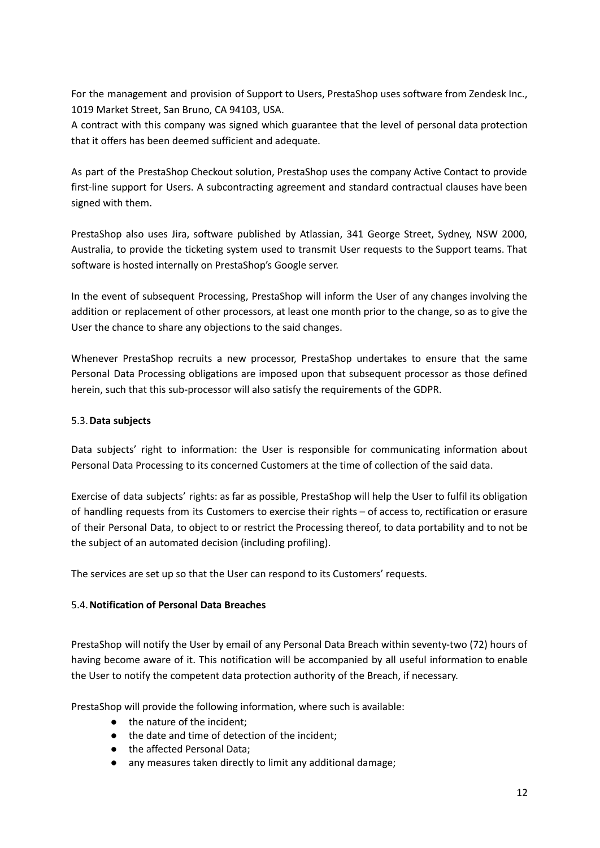For the management and provision of Support to Users, PrestaShop uses software from Zendesk Inc., 1019 Market Street, San Bruno, CA 94103, USA.

A contract with this company was signed which guarantee that the level of personal data protection that it offers has been deemed sufficient and adequate.

As part of the PrestaShop Checkout solution, PrestaShop uses the company Active Contact to provide first-line support for Users. A subcontracting agreement and standard contractual clauses have been signed with them.

PrestaShop also uses Jira, software published by Atlassian, 341 George Street, Sydney, NSW 2000, Australia, to provide the ticketing system used to transmit User requests to the Support teams. That software is hosted internally on PrestaShop's Google server.

In the event of subsequent Processing, PrestaShop will inform the User of any changes involving the addition or replacement of other processors, at least one month prior to the change, so as to give the User the chance to share any objections to the said changes.

Whenever PrestaShop recruits a new processor, PrestaShop undertakes to ensure that the same Personal Data Processing obligations are imposed upon that subsequent processor as those defined herein, such that this sub-processor will also satisfy the requirements of the GDPR.

# 5.3.**Data subjects**

Data subjects' right to information: the User is responsible for communicating information about Personal Data Processing to its concerned Customers at the time of collection of the said data.

Exercise of data subjects' rights: as far as possible, PrestaShop will help the User to fulfil its obligation of handling requests from its Customers to exercise their rights – of access to, rectification or erasure of their Personal Data, to object to or restrict the Processing thereof, to data portability and to not be the subject of an automated decision (including profiling).

The services are set up so that the User can respond to its Customers' requests.

# 5.4.**Notification of Personal Data Breaches**

PrestaShop will notify the User by email of any Personal Data Breach within seventy-two (72) hours of having become aware of it. This notification will be accompanied by all useful information to enable the User to notify the competent data protection authority of the Breach, if necessary.

PrestaShop will provide the following information, where such is available:

- the nature of the incident;
- the date and time of detection of the incident;
- the affected Personal Data;
- any measures taken directly to limit any additional damage;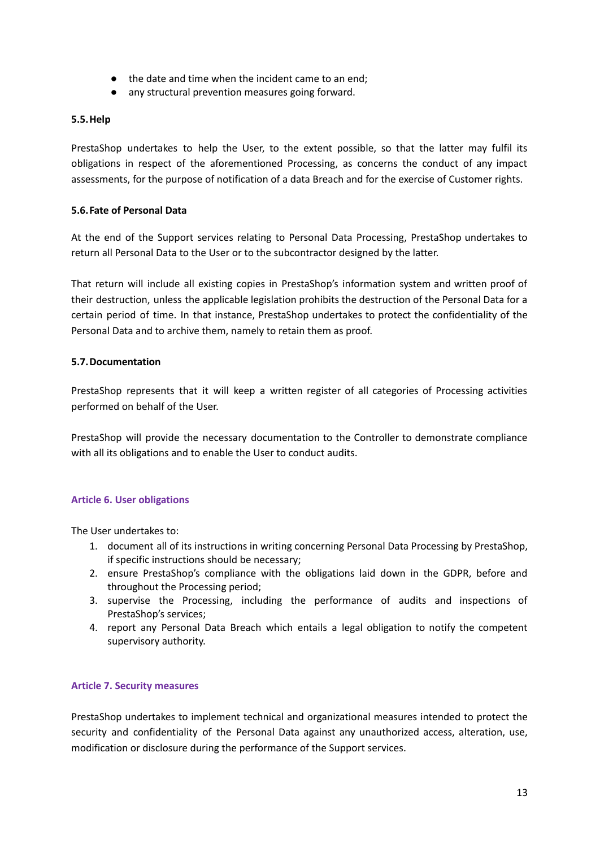- the date and time when the incident came to an end;
- any structural prevention measures going forward.

### **5.5.Help**

PrestaShop undertakes to help the User, to the extent possible, so that the latter may fulfil its obligations in respect of the aforementioned Processing, as concerns the conduct of any impact assessments, for the purpose of notification of a data Breach and for the exercise of Customer rights.

## **5.6.Fate of Personal Data**

At the end of the Support services relating to Personal Data Processing, PrestaShop undertakes to return all Personal Data to the User or to the subcontractor designed by the latter.

That return will include all existing copies in PrestaShop's information system and written proof of their destruction, unless the applicable legislation prohibits the destruction of the Personal Data for a certain period of time. In that instance, PrestaShop undertakes to protect the confidentiality of the Personal Data and to archive them, namely to retain them as proof.

## **5.7.Documentation**

PrestaShop represents that it will keep a written register of all categories of Processing activities performed on behalf of the User.

PrestaShop will provide the necessary documentation to the Controller to demonstrate compliance with all its obligations and to enable the User to conduct audits.

# **Article 6. User obligations**

The User undertakes to:

- 1. document all of its instructions in writing concerning Personal Data Processing by PrestaShop, if specific instructions should be necessary;
- 2. ensure PrestaShop's compliance with the obligations laid down in the GDPR, before and throughout the Processing period;
- 3. supervise the Processing, including the performance of audits and inspections of PrestaShop's services;
- 4. report any Personal Data Breach which entails a legal obligation to notify the competent supervisory authority.

### **Article 7. Security measures**

PrestaShop undertakes to implement technical and organizational measures intended to protect the security and confidentiality of the Personal Data against any unauthorized access, alteration, use, modification or disclosure during the performance of the Support services.